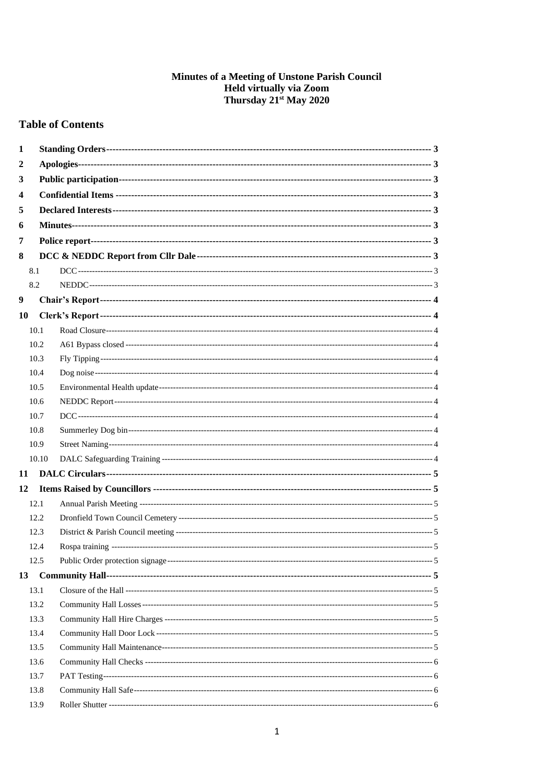# **Minutes of a Meeting of Unstone Parish Council<br>Held virtually via Zoom<br>Thursday 21<sup>st</sup> May 2020**

# **Table of Contents**

| 1  |       |  |
|----|-------|--|
| 2  |       |  |
| 3  |       |  |
| 4  |       |  |
| 5  |       |  |
| 6  |       |  |
| 7  |       |  |
| 8  |       |  |
|    | 8.1   |  |
|    | 8.2   |  |
| 9  |       |  |
| 10 |       |  |
|    | 10.1  |  |
|    | 10.2  |  |
|    | 10.3  |  |
|    | 10.4  |  |
|    | 10.5  |  |
|    | 10.6  |  |
|    | 10.7  |  |
|    | 10.8  |  |
|    | 10.9  |  |
|    | 10.10 |  |
| 11 |       |  |
| 12 |       |  |
|    | 12.1  |  |
|    | 12.2  |  |
|    | 12.3  |  |
|    | 12.4  |  |
|    | 12.5  |  |
| 13 |       |  |
|    | 13.1  |  |
|    | 13.2  |  |
|    | 13.3  |  |
|    | 13.4  |  |
|    | 13.5  |  |
|    | 13.6  |  |
|    | 13.7  |  |
|    | 13.8  |  |
|    | 13.9  |  |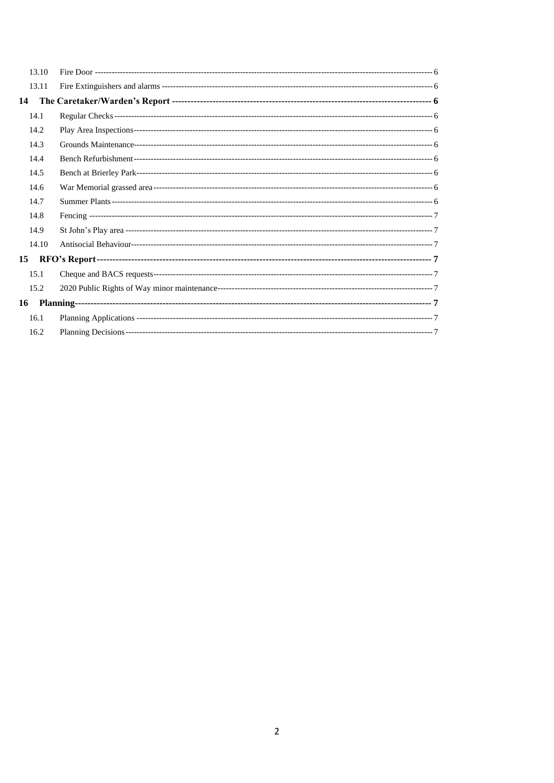| 13.10 |  |
|-------|--|
| 13.11 |  |
| 14    |  |
| 14.1  |  |
| 14.2  |  |
| 14.3  |  |
| 14.4  |  |
| 14.5  |  |
| 14.6  |  |
| 14.7  |  |
| 14.8  |  |
| 14.9  |  |
| 14.10 |  |
| 15    |  |
| 15.1  |  |
| 15.2  |  |
| 16    |  |
| 16.1  |  |
| 16.2  |  |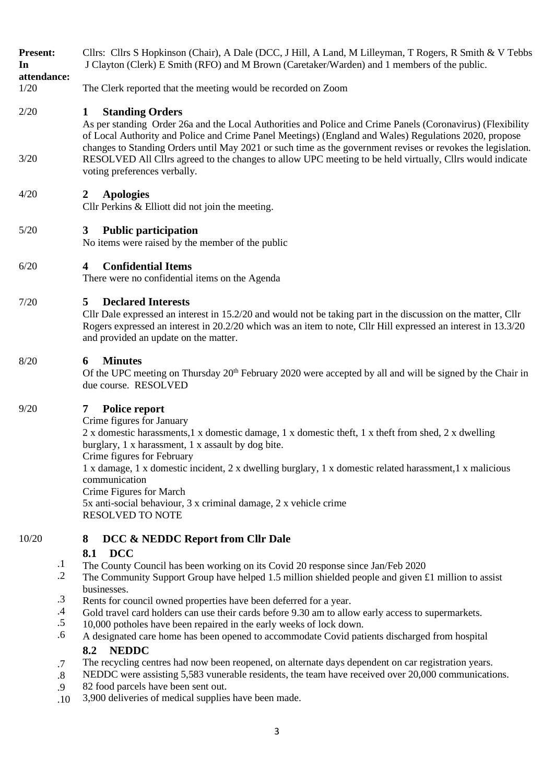- **Present:** Cllrs: Cllrs S Hopkinson (Chair), A Dale (DCC, J Hill, A Land, M Lilleyman, T Rogers, R Smith & V Tebbs **In**  J Clayton (Clerk) E Smith (RFO) and M Brown (Caretaker/Warden) and 1 members of the public.
- **attendance:**

3/20

1/20 The Clerk reported that the meeting would be recorded on Zoom

#### 2/20 **1 Standing Orders**

<span id="page-2-0"></span>As per standing Order 26a and the Local Authorities and Police and Crime Panels (Coronavirus) (Flexibility of Local Authority and Police and Crime Panel Meetings) (England and Wales) Regulations 2020, propose changes to Standing Orders until May 2021 or such time as the government revises or revokes the legislation. RESOLVED All Cllrs agreed to the changes to allow UPC meeting to be held virtually, Cllrs would indicate voting preferences verbally.

#### 4/20 **2 Apologies**

<span id="page-2-2"></span><span id="page-2-1"></span>Cllr Perkins & Elliott did not join the meeting.

# 5/20 **3 Public participation**

<span id="page-2-3"></span>No items were raised by the member of the public

# 6/20 **4 Confidential Items**

<span id="page-2-4"></span>There were no confidential items on the Agenda

# 7/20 **5 Declared Interests**

Cllr Dale expressed an interest in 15.2/20 and would not be taking part in the discussion on the matter, Cllr Rogers expressed an interest in 20.2/20 which was an item to note, Cllr Hill expressed an interest in 13.3/20 and provided an update on the matter.

# 8/20 **6 Minutes**

<span id="page-2-6"></span><span id="page-2-5"></span>Of the UPC meeting on Thursday  $20^{th}$  February 2020 were accepted by all and will be signed by the Chair in due course. RESOLVED

# 9/20 **7 Police report**

Crime figures for January 2 x domestic harassments,1 x domestic damage, 1 x domestic theft, 1 x theft from shed, 2 x dwelling burglary, 1 x harassment, 1 x assault by dog bite. Crime figures for February 1 x damage, 1 x domestic incident, 2 x dwelling burglary, 1 x domestic related harassment,1 x malicious communication Crime Figures for March 5x anti-social behaviour, 3 x criminal damage, 2 x vehicle crime RESOLVED TO NOTE

#### 10/20 **8 DCC & NEDDC Report from Cllr Dale**

# <span id="page-2-8"></span><span id="page-2-7"></span>**8.1 DCC**

- .1 The County Council has been working on its Covid 20 response since Jan/Feb 2020
- .2 The Community Support Group have helped 1.5 million shielded people and given £1 million to assist businesses.
- .3 Rents for council owned properties have been deferred for a year.
- .4 Gold travel card holders can use their cards before 9.30 am to allow early access to supermarkets.
- .5 10,000 potholes have been repaired in the early weeks of lock down.
- .6 A designated care home has been opened to accommodate Covid patients discharged from hospital

# <span id="page-2-9"></span>**8.2 NEDDC**

.7 The recycling centres had now been reopened, on alternate days dependent on car registration years.

.8 .9 NEDDC were assisting 5,583 vunerable residents, the team have received over 20,000 communications. 82 food parcels have been sent out.

.10 3,900 deliveries of medical supplies have been made.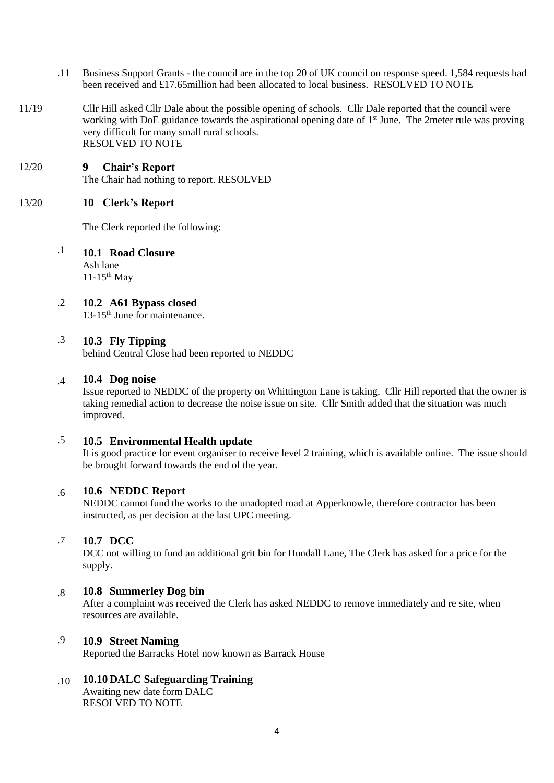- .11 Business Support Grants the council are in the top 20 of UK council on response speed. 1,584 requests had been received and £17.65million had been allocated to local business. RESOLVED TO NOTE
- 11/19 Cllr Hill asked Cllr Dale about the possible opening of schools. Cllr Dale reported that the council were working with DoE guidance towards the aspirational opening date of 1<sup>st</sup> June. The 2meter rule was proving very difficult for many small rural schools. RESOLVED TO NOTE

## <span id="page-3-0"></span>12/20 **9 Chair's Report** The Chair had nothing to report. RESOLVED

#### 13/20 **10 Clerk's Report**

<span id="page-3-2"></span><span id="page-3-1"></span>The Clerk reported the following:

.1 **10.1 Road Closure**  Ash lane  $11-15$ <sup>th</sup> May

#### .2 **10.2 A61 Bypass closed**

<span id="page-3-3"></span>13-15th June for maintenance.

#### .3 **10.3 Fly Tipping**

<span id="page-3-4"></span>behind Central Close had been reported to NEDDC

#### .4 **10.4 Dog noise**

<span id="page-3-5"></span>Issue reported to NEDDC of the property on Whittington Lane is taking. Cllr Hill reported that the owner is taking remedial action to decrease the noise issue on site. Cllr Smith added that the situation was much improved.

#### .5 **10.5 Environmental Health update**

<span id="page-3-6"></span>It is good practice for event organiser to receive level 2 training, which is available online. The issue should be brought forward towards the end of the year.

#### .6 **10.6 NEDDC Report**

<span id="page-3-7"></span>NEDDC cannot fund the works to the unadopted road at Apperknowle, therefore contractor has been instructed, as per decision at the last UPC meeting.

#### .7 **10.7 DCC**

<span id="page-3-8"></span>DCC not willing to fund an additional grit bin for Hundall Lane, The Clerk has asked for a price for the supply.

#### .8 **10.8 Summerley Dog bin**

<span id="page-3-9"></span>After a complaint was received the Clerk has asked NEDDC to remove immediately and re site, when resources are available.

#### .9 **10.9 Street Naming**

<span id="page-3-10"></span>Reported the Barracks Hotel now known as Barrack House

#### .10 **10.10 DALC Safeguarding Training**

<span id="page-3-11"></span>Awaiting new date form DALC RESOLVED TO NOTE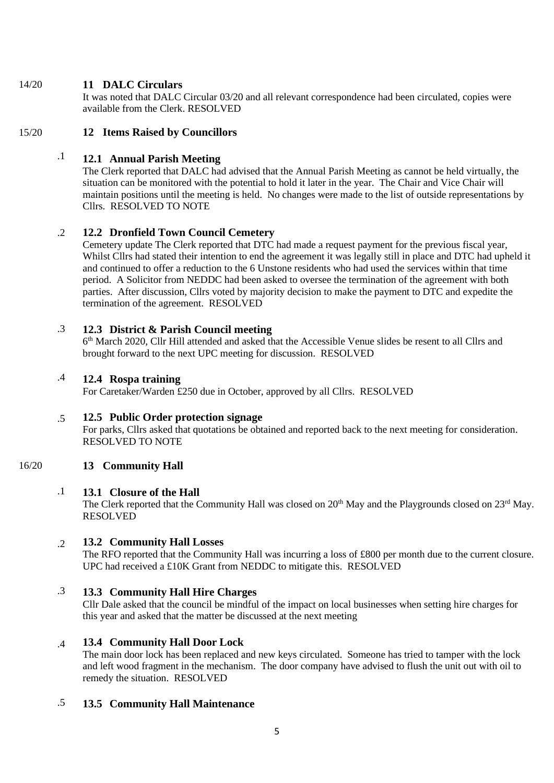# 14/20 **11 DALC Circulars**

<span id="page-4-1"></span><span id="page-4-0"></span>It was noted that DALC Circular 03/20 and all relevant correspondence had been circulated, copies were available from the Clerk. RESOLVED

# 15/20 **12 Items Raised by Councillors**

## .1 **12.1 Annual Parish Meeting**

<span id="page-4-2"></span>The Clerk reported that DALC had advised that the Annual Parish Meeting as cannot be held virtually, the situation can be monitored with the potential to hold it later in the year. The Chair and Vice Chair will maintain positions until the meeting is held. No changes were made to the list of outside representations by Cllrs. RESOLVED TO NOTE

### .2 **12.2 Dronfield Town Council Cemetery**

<span id="page-4-3"></span>Cemetery update The Clerk reported that DTC had made a request payment for the previous fiscal year, Whilst Cllrs had stated their intention to end the agreement it was legally still in place and DTC had upheld it and continued to offer a reduction to the 6 Unstone residents who had used the services within that time period. A Solicitor from NEDDC had been asked to oversee the termination of the agreement with both parties. After discussion, Cllrs voted by majority decision to make the payment to DTC and expedite the termination of the agreement. RESOLVED

#### .3 **12.3 District & Parish Council meeting**

<span id="page-4-4"></span>6 th March 2020, Cllr Hill attended and asked that the Accessible Venue slides be resent to all Cllrs and brought forward to the next UPC meeting for discussion. RESOLVED

## .4 **12.4 Rospa training**

<span id="page-4-5"></span>For Caretaker/Warden £250 due in October, approved by all Cllrs. RESOLVED

#### .5 **12.5 Public Order protection signage**

<span id="page-4-7"></span><span id="page-4-6"></span>For parks, Cllrs asked that quotations be obtained and reported back to the next meeting for consideration. RESOLVED TO NOTE

#### 16/20 **13 Community Hall**

#### .1 **13.1 Closure of the Hall**

<span id="page-4-8"></span>The Clerk reported that the Community Hall was closed on 20<sup>th</sup> May and the Playgrounds closed on 23<sup>rd</sup> May. RESOLVED

#### .2 **13.2 Community Hall Losses**

<span id="page-4-9"></span>The RFO reported that the Community Hall was incurring a loss of £800 per month due to the current closure. UPC had received a £10K Grant from NEDDC to mitigate this. RESOLVED

#### .3 **13.3 Community Hall Hire Charges**

<span id="page-4-10"></span>Cllr Dale asked that the council be mindful of the impact on local businesses when setting hire charges for this year and asked that the matter be discussed at the next meeting

#### .4 **13.4 Community Hall Door Lock**

<span id="page-4-11"></span>The main door lock has been replaced and new keys circulated. Someone has tried to tamper with the lock and left wood fragment in the mechanism. The door company have advised to flush the unit out with oil to remedy the situation. RESOLVED

## <span id="page-4-12"></span>.5 **13.5 Community Hall Maintenance**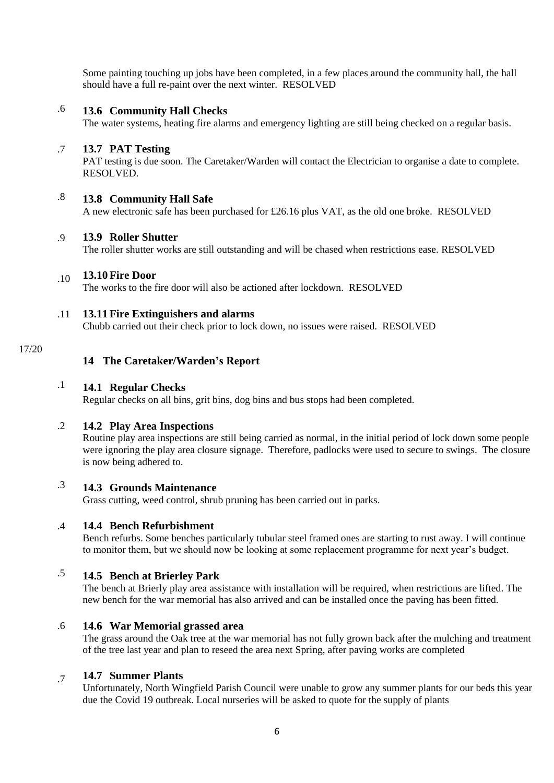Some painting touching up jobs have been completed, in a few places around the community hall, the hall should have a full re-paint over the next winter. RESOLVED

## .6 **13.6 Community Hall Checks**

<span id="page-5-0"></span>The water systems, heating fire alarms and emergency lighting are still being checked on a regular basis.

#### .7 **13.7 PAT Testing**

<span id="page-5-1"></span>PAT testing is due soon. The Caretaker/Warden will contact the Electrician to organise a date to complete. RESOLVED.

## .8 **13.8 Community Hall Safe**

<span id="page-5-2"></span>A new electronic safe has been purchased for £26.16 plus VAT, as the old one broke. RESOLVED

#### .9 **13.9 Roller Shutter**

<span id="page-5-3"></span>The roller shutter works are still outstanding and will be chased when restrictions ease. RESOLVED

## .10 **13.10Fire Door**

<span id="page-5-4"></span>The works to the fire door will also be actioned after lockdown. RESOLVED

#### .11 **13.11Fire Extinguishers and alarms**

<span id="page-5-5"></span>Chubb carried out their check prior to lock down, no issues were raised. RESOLVED

## 17/20

# <span id="page-5-6"></span>**14 The Caretaker/Warden's Report**

## .1 **14.1 Regular Checks**

<span id="page-5-7"></span>Regular checks on all bins, grit bins, dog bins and bus stops had been completed.

#### .2 **14.2 Play Area Inspections**

<span id="page-5-8"></span>Routine play area inspections are still being carried as normal, in the initial period of lock down some people were ignoring the play area closure signage. Therefore, padlocks were used to secure to swings. The closure is now being adhered to.

## .3 **14.3 Grounds Maintenance**

<span id="page-5-9"></span>Grass cutting, weed control, shrub pruning has been carried out in parks.

#### .4 **14.4 Bench Refurbishment**

<span id="page-5-10"></span>Bench refurbs. Some benches particularly tubular steel framed ones are starting to rust away. I will continue to monitor them, but we should now be looking at some replacement programme for next year's budget.

## .5 **14.5 Bench at Brierley Park**

<span id="page-5-11"></span>The bench at Brierly play area assistance with installation will be required, when restrictions are lifted. The new bench for the war memorial has also arrived and can be installed once the paving has been fitted.

#### .6 **14.6 War Memorial grassed area**

<span id="page-5-12"></span>The grass around the Oak tree at the war memorial has not fully grown back after the mulching and treatment of the tree last year and plan to reseed the area next Spring, after paving works are completed

#### .7 **14.7 Summer Plants**

<span id="page-5-13"></span>Unfortunately, North Wingfield Parish Council were unable to grow any summer plants for our beds this year due the Covid 19 outbreak. Local nurseries will be asked to quote for the supply of plants